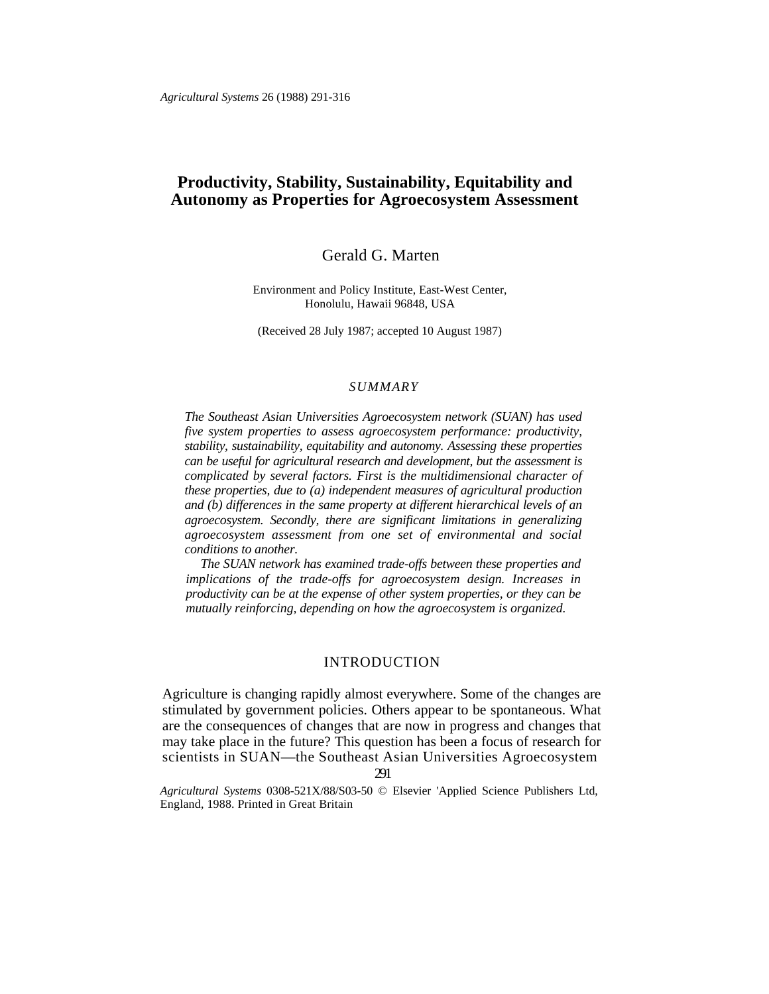# **Productivity, Stability, Sustainability, Equitability and Autonomy as Properties for Agroecosystem Assessment**

# Gerald G. Marten

Environment and Policy Institute, East-West Center, Honolulu, Hawaii 96848, USA

(Received 28 July 1987; accepted 10 August 1987)

## *SUMMARY*

*The Southeast Asian Universities Agroecosystem network (SUAN) has used five system properties to assess agroecosystem performance: productivity, stability, sustainability, equitability and autonomy. Assessing these properties can be useful for agricultural research and development, but the assessment is complicated by several factors. First is the multidimensional character of these properties, due to (a) independent measures of agricultural production and (b) differences in the same property at different hierarchical levels of an agroecosystem. Secondly, there are significant limitations in generalizing agroecosystem assessment from one set of environmental and social conditions to another.*

*The SUAN network has examined trade-offs between these properties and implications of the trade-offs for agroecosystem design. Increases in productivity can be at the expense of other system properties, or they can be mutually reinforcing, depending on how the agroecosystem is organized.*

# INTRODUCTION

Agriculture is changing rapidly almost everywhere. Some of the changes are stimulated by government policies. Others appear to be spontaneous. What are the consequences of changes that are now in progress and changes that may take place in the future? This question has been a focus of research for scientists in SUAN—the Southeast Asian Universities Agroecosystem

291

*Agricultural Systems* 0308-521X/88/S03-50 © Elsevier 'Applied Science Publishers Ltd, England, 1988. Printed in Great Britain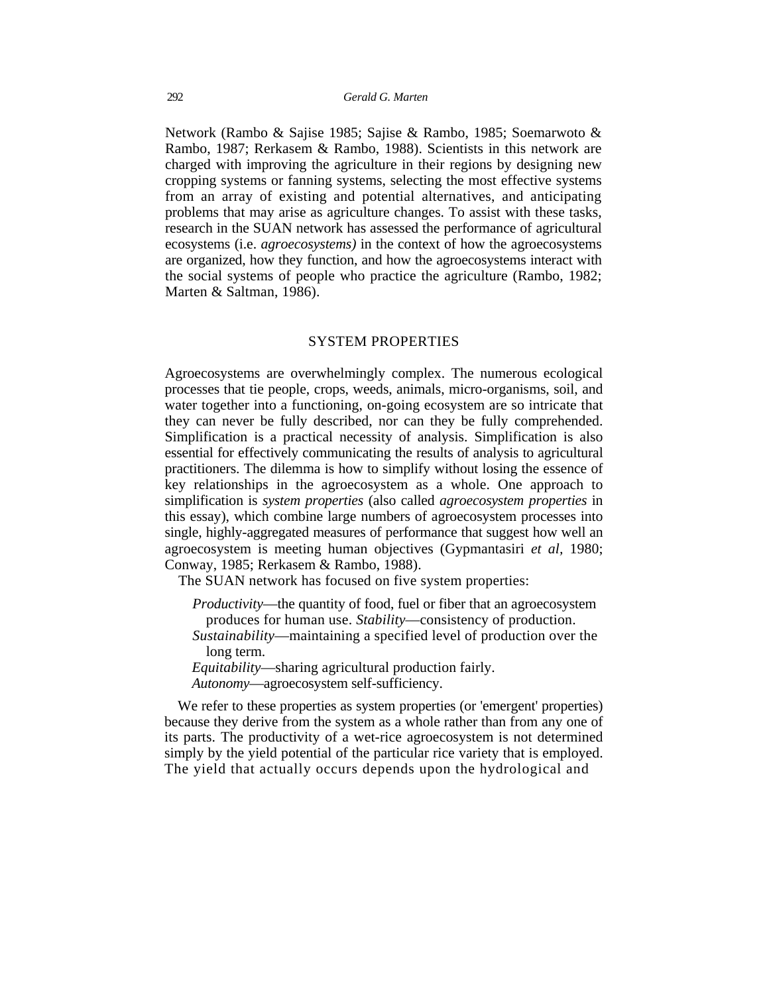Network (Rambo & Sajise 1985; Sajise & Rambo, 1985; Soemarwoto & Rambo, 1987; Rerkasem & Rambo, 1988). Scientists in this network are charged with improving the agriculture in their regions by designing new cropping systems or fanning systems, selecting the most effective systems from an array of existing and potential alternatives, and anticipating problems that may arise as agriculture changes. To assist with these tasks, research in the SUAN network has assessed the performance of agricultural ecosystems (i.e. *agroecosystems)* in the context of how the agroecosystems are organized, how they function, and how the agroecosystems interact with the social systems of people who practice the agriculture (Rambo, 1982; Marten & Saltman, 1986).

# SYSTEM PROPERTIES

Agroecosystems are overwhelmingly complex. The numerous ecological processes that tie people, crops, weeds, animals, micro-organisms, soil, and water together into a functioning, on-going ecosystem are so intricate that they can never be fully described, nor can they be fully comprehended. Simplification is a practical necessity of analysis. Simplification is also essential for effectively communicating the results of analysis to agricultural practitioners. The dilemma is how to simplify without losing the essence of key relationships in the agroecosystem as a whole. One approach to simplification is *system properties* (also called *agroecosystem properties* in this essay), which combine large numbers of agroecosystem processes into single, highly-aggregated measures of performance that suggest how well an agroecosystem is meeting human objectives (Gypmantasiri *et al,* 1980; Conway, 1985; Rerkasem & Rambo, 1988).

The SUAN network has focused on five system properties:

- *Productivity*—the quantity of food, fuel or fiber that an agroecosystem produces for human use. *Stability*—consistency of production.
- *Sustainability*—maintaining a specified level of production over the long term.
- *Equitability*—sharing agricultural production fairly.
- *Autonomy*—agroecosystem self-sufficiency.

We refer to these properties as system properties (or 'emergent' properties) because they derive from the system as a whole rather than from any one of its parts. The productivity of a wet-rice agroecosystem is not determined simply by the yield potential of the particular rice variety that is employed. The yield that actually occurs depends upon the hydrological and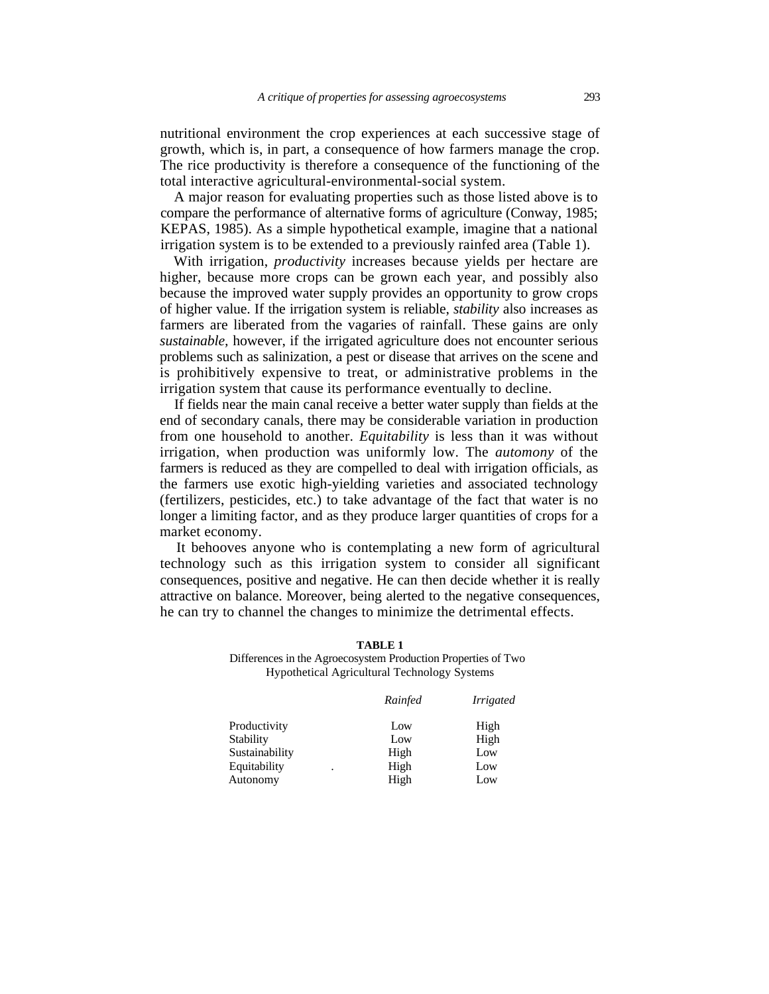nutritional environment the crop experiences at each successive stage of growth, which is, in part, a consequence of how farmers manage the crop. The rice productivity is therefore a consequence of the functioning of the total interactive agricultural-environmental-social system.

A major reason for evaluating properties such as those listed above is to compare the performance of alternative forms of agriculture (Conway, 1985; KEPAS, 1985). As a simple hypothetical example, imagine that a national irrigation system is to be extended to a previously rainfed area (Table 1).

With irrigation, *productivity* increases because yields per hectare are higher, because more crops can be grown each year, and possibly also because the improved water supply provides an opportunity to grow crops of higher value. If the irrigation system is reliable, *stability* also increases as farmers are liberated from the vagaries of rainfall. These gains are only *sustainable,* however, if the irrigated agriculture does not encounter serious problems such as salinization, a pest or disease that arrives on the scene and is prohibitively expensive to treat, or administrative problems in the irrigation system that cause its performance eventually to decline.

If fields near the main canal receive a better water supply than fields at the end of secondary canals, there may be considerable variation in production from one household to another. *Equitability* is less than it was without irrigation, when production was uniformly low. The *automony* of the farmers is reduced as they are compelled to deal with irrigation officials, as the farmers use exotic high-yielding varieties and associated technology (fertilizers, pesticides, etc.) to take advantage of the fact that water is no longer a limiting factor, and as they produce larger quantities of crops for a market economy.

It behooves anyone who is contemplating a new form of agricultural technology such as this irrigation system to consider all significant consequences, positive and negative. He can then decide whether it is really attractive on balance. Moreover, being alerted to the negative consequences, he can try to channel the changes to minimize the detrimental effects.

**TABLE 1** Differences in the Agroecosystem Production Properties of Two Hypothetical Agricultural Technology Systems

|                   | Rainfed | <i>Irrigated</i> |
|-------------------|---------|------------------|
| Productivity      | Low     | High             |
| Stability         | Low     | High             |
| Sustainability    | High    | Low              |
| Equitability<br>٠ | High    | Low              |
| Autonomy          | High    | Low              |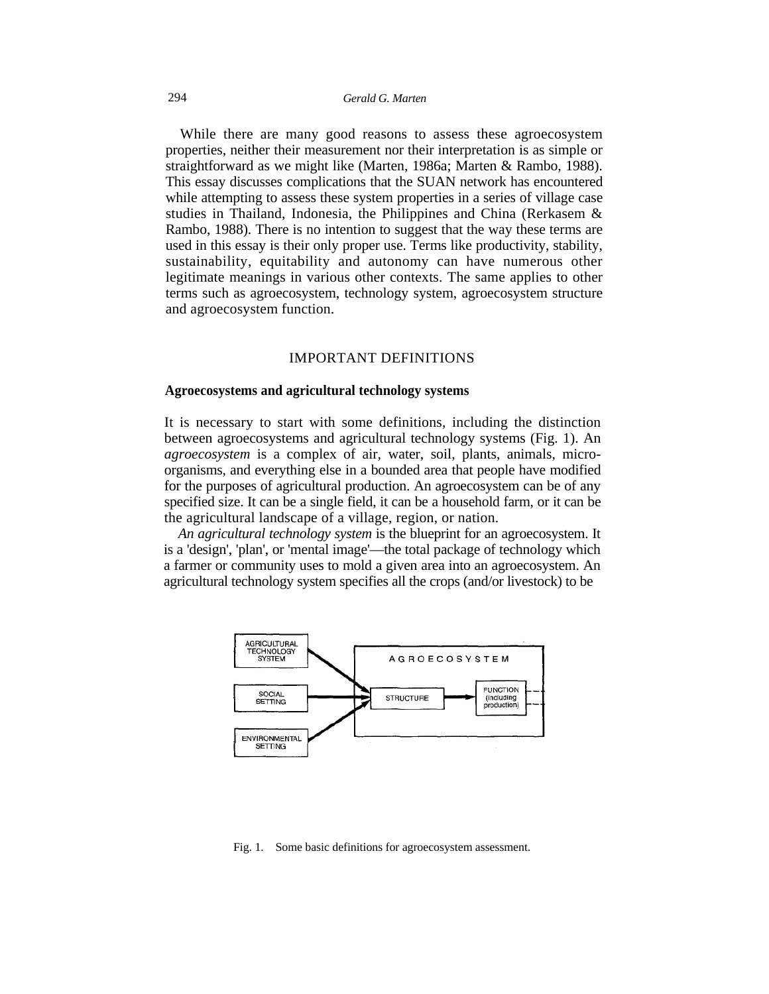# 294 *Gerald G. Marten*

While there are many good reasons to assess these agroecosystem properties, neither their measurement nor their interpretation is as simple or straightforward as we might like (Marten, 1986a; Marten & Rambo, 1988). This essay discusses complications that the SUAN network has encountered while attempting to assess these system properties in a series of village case studies in Thailand, Indonesia, the Philippines and China (Rerkasem & Rambo, 1988). There is no intention to suggest that the way these terms are used in this essay is their only proper use. Terms like productivity, stability, sustainability, equitability and autonomy can have numerous other legitimate meanings in various other contexts. The same applies to other terms such as agroecosystem, technology system, agroecosystem structure and agroecosystem function.

# IMPORTANT DEFINITIONS

## **Agroecosystems and agricultural technology systems**

It is necessary to start with some definitions, including the distinction between agroecosystems and agricultural technology systems (Fig. 1). An *agroecosystem* is a complex of air, water, soil, plants, animals, microorganisms, and everything else in a bounded area that people have modified for the purposes of agricultural production. An agroecosystem can be of any specified size. It can be a single field, it can be a household farm, or it can be the agricultural landscape of a village, region, or nation.

*An agricultural technology system* is the blueprint for an agroecosystem. It is a 'design', 'plan', or 'mental image'—the total package of technology which a farmer or community uses to mold a given area into an agroecosystem. An agricultural technology system specifies all the crops (and/or livestock) to be



Fig. 1. Some basic definitions for agroecosystem assessment.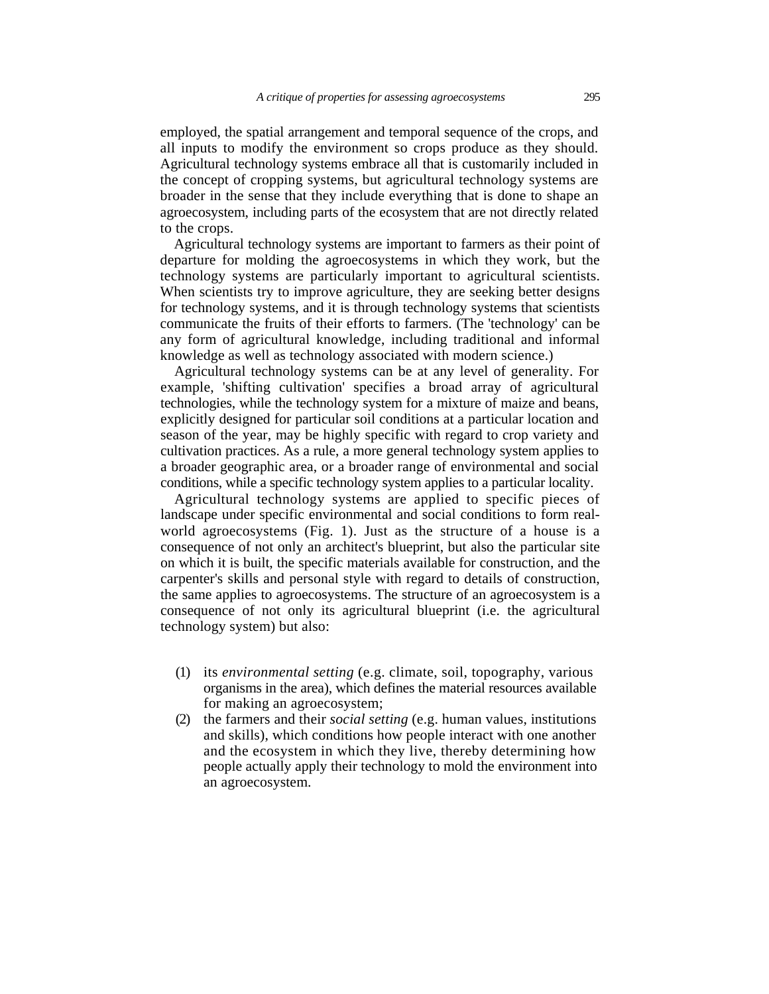employed, the spatial arrangement and temporal sequence of the crops, and all inputs to modify the environment so crops produce as they should. Agricultural technology systems embrace all that is customarily included in the concept of cropping systems, but agricultural technology systems are broader in the sense that they include everything that is done to shape an agroecosystem, including parts of the ecosystem that are not directly related to the crops.

Agricultural technology systems are important to farmers as their point of departure for molding the agroecosystems in which they work, but the technology systems are particularly important to agricultural scientists. When scientists try to improve agriculture, they are seeking better designs for technology systems, and it is through technology systems that scientists communicate the fruits of their efforts to farmers. (The 'technology' can be any form of agricultural knowledge, including traditional and informal knowledge as well as technology associated with modern science.)

Agricultural technology systems can be at any level of generality. For example, 'shifting cultivation' specifies a broad array of agricultural technologies, while the technology system for a mixture of maize and beans, explicitly designed for particular soil conditions at a particular location and season of the year, may be highly specific with regard to crop variety and cultivation practices. As a rule, a more general technology system applies to a broader geographic area, or a broader range of environmental and social conditions, while a specific technology system applies to a particular locality.

Agricultural technology systems are applied to specific pieces of landscape under specific environmental and social conditions to form realworld agroecosystems (Fig. 1). Just as the structure of a house is a consequence of not only an architect's blueprint, but also the particular site on which it is built, the specific materials available for construction, and the carpenter's skills and personal style with regard to details of construction, the same applies to agroecosystems. The structure of an agroecosystem is a consequence of not only its agricultural blueprint (i.e. the agricultural technology system) but also:

- (1) its *environmental setting* (e.g. climate, soil, topography, various organisms in the area), which defines the material resources available for making an agroecosystem;
- (2) the farmers and their *social setting* (e.g. human values, institutions and skills), which conditions how people interact with one another and the ecosystem in which they live, thereby determining how people actually apply their technology to mold the environment into an agroecosystem.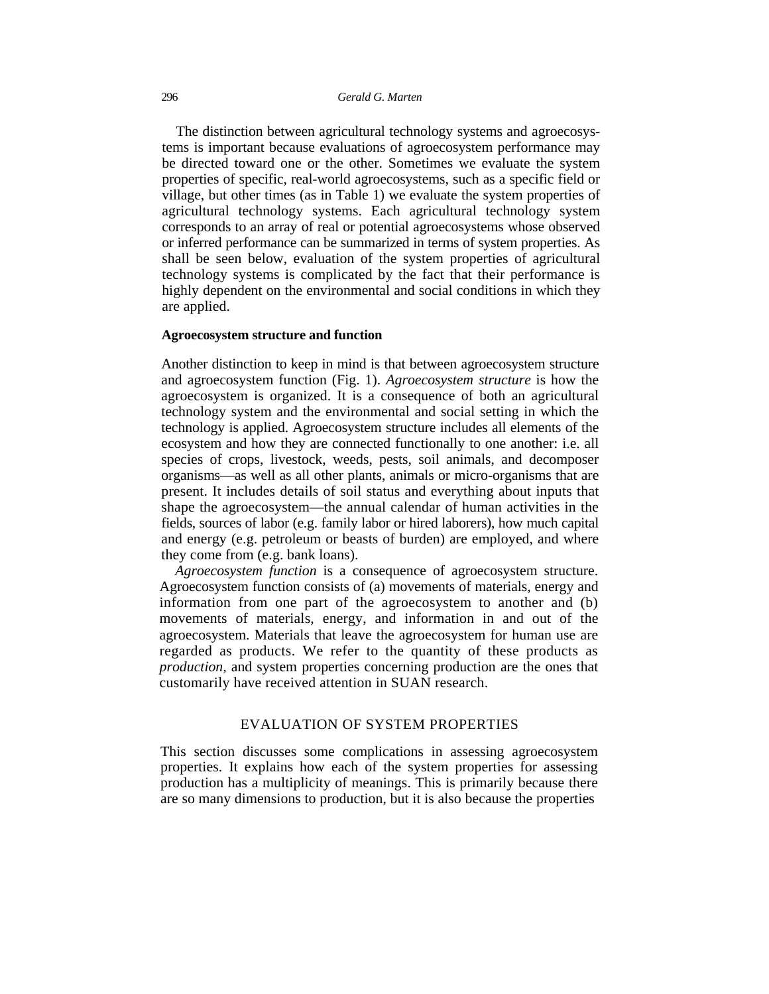The distinction between agricultural technology systems and agroecosystems is important because evaluations of agroecosystem performance may be directed toward one or the other. Sometimes we evaluate the system properties of specific, real-world agroecosystems, such as a specific field or village, but other times (as in Table 1) we evaluate the system properties of agricultural technology systems. Each agricultural technology system corresponds to an array of real or potential agroecosystems whose observed or inferred performance can be summarized in terms of system properties. As shall be seen below, evaluation of the system properties of agricultural technology systems is complicated by the fact that their performance is highly dependent on the environmental and social conditions in which they are applied.

## **Agroecosystem structure and function**

Another distinction to keep in mind is that between agroecosystem structure and agroecosystem function (Fig. 1). *Agroecosystem structure* is how the agroecosystem is organized. It is a consequence of both an agricultural technology system and the environmental and social setting in which the technology is applied. Agroecosystem structure includes all elements of the ecosystem and how they are connected functionally to one another: i.e. all species of crops, livestock, weeds, pests, soil animals, and decomposer organisms—as well as all other plants, animals or micro-organisms that are present. It includes details of soil status and everything about inputs that shape the agroecosystem—the annual calendar of human activities in the fields, sources of labor (e.g. family labor or hired laborers), how much capital and energy (e.g. petroleum or beasts of burden) are employed, and where they come from (e.g. bank loans).

*Agroecosystem function* is a consequence of agroecosystem structure. Agroecosystem function consists of (a) movements of materials, energy and information from one part of the agroecosystem to another and (b) movements of materials, energy, and information in and out of the agroecosystem. Materials that leave the agroecosystem for human use are regarded as products. We refer to the quantity of these products as *production,* and system properties concerning production are the ones that customarily have received attention in SUAN research.

# EVALUATION OF SYSTEM PROPERTIES

This section discusses some complications in assessing agroecosystem properties. It explains how each of the system properties for assessing production has a multiplicity of meanings. This is primarily because there are so many dimensions to production, but it is also because the properties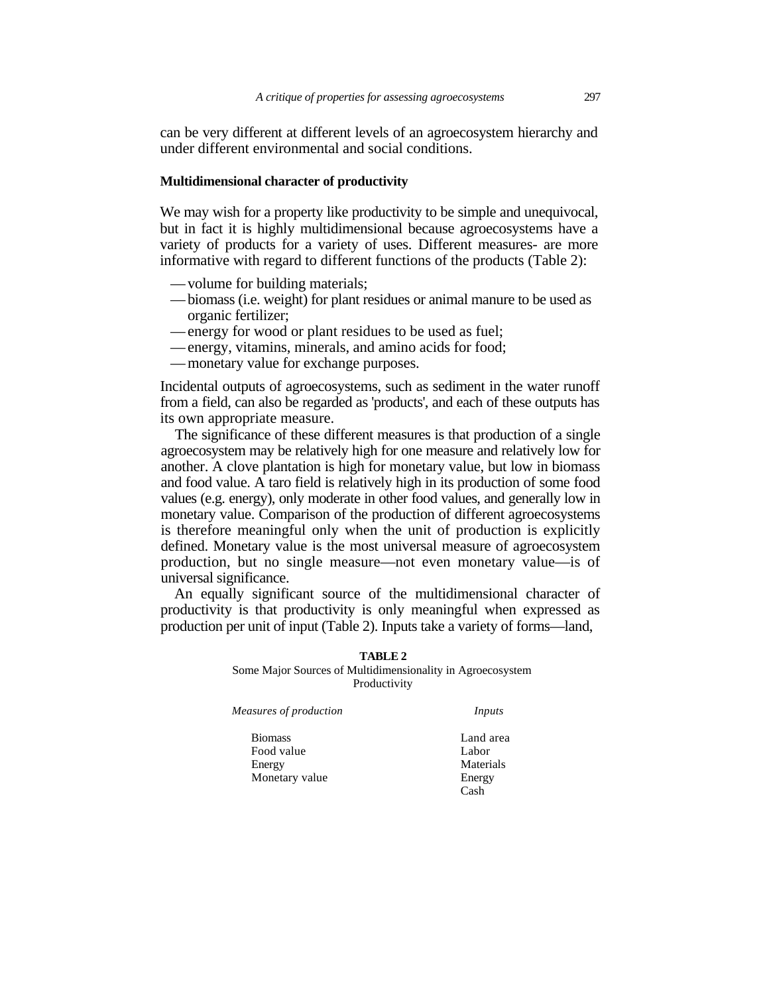can be very different at different levels of an agroecosystem hierarchy and under different environmental and social conditions.

# **Multidimensional character of productivity**

We may wish for a property like productivity to be simple and unequivocal, but in fact it is highly multidimensional because agroecosystems have a variety of products for a variety of uses. Different measures- are more informative with regard to different functions of the products (Table 2):

- —volume for building materials;
- —biomass (i.e. weight) for plant residues or animal manure to be used as organic fertilizer;
- —energy for wood or plant residues to be used as fuel;
- —energy, vitamins, minerals, and amino acids for food;
- —monetary value for exchange purposes.

Incidental outputs of agroecosystems, such as sediment in the water runoff from a field, can also be regarded as 'products', and each of these outputs has its own appropriate measure.

The significance of these different measures is that production of a single agroecosystem may be relatively high for one measure and relatively low for another. A clove plantation is high for monetary value, but low in biomass and food value. A taro field is relatively high in its production of some food values (e.g. energy), only moderate in other food values, and generally low in monetary value. Comparison of the production of different agroecosystems is therefore meaningful only when the unit of production is explicitly defined. Monetary value is the most universal measure of agroecosystem production, but no single measure—not even monetary value—is of universal significance.

An equally significant source of the multidimensional character of productivity is that productivity is only meaningful when expressed as production per unit of input (Table 2). Inputs take a variety of forms—land,

# **TABLE 2**

Some Major Sources of Multidimensionality in Agroecosystem Productivity

*Measures of production Inputs*

Biomass Land area Food value Labor Energy Materials Monetary value Energy

Cash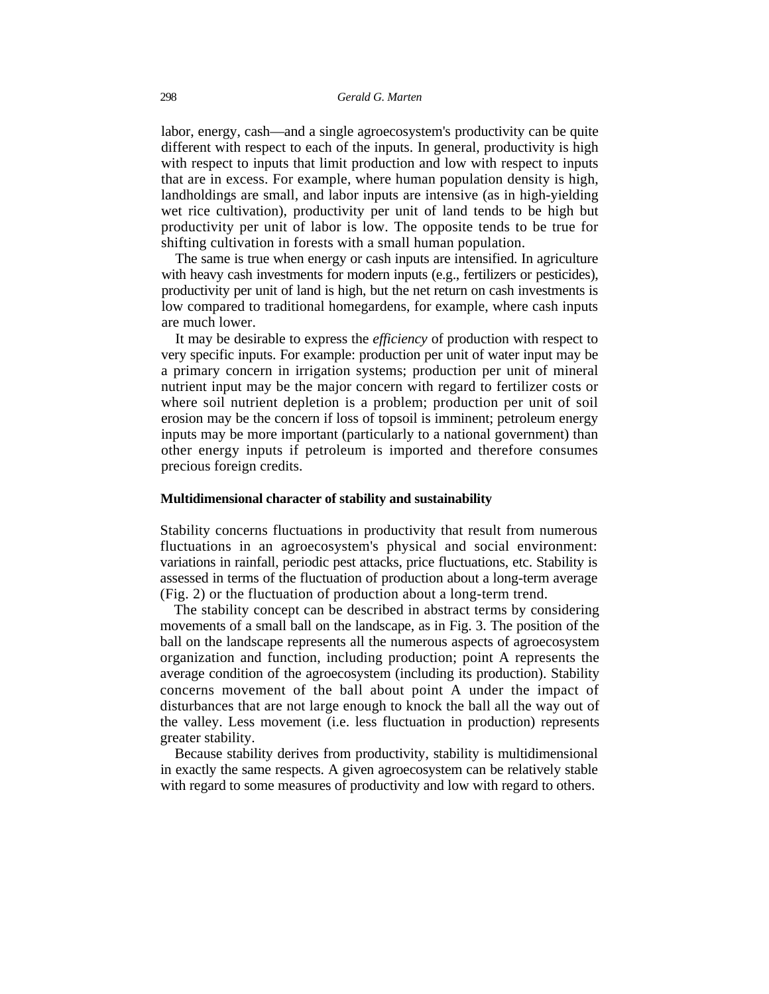labor, energy, cash—and a single agroecosystem's productivity can be quite different with respect to each of the inputs. In general, productivity is high with respect to inputs that limit production and low with respect to inputs that are in excess. For example, where human population density is high, landholdings are small, and labor inputs are intensive (as in high-yielding wet rice cultivation), productivity per unit of land tends to be high but productivity per unit of labor is low. The opposite tends to be true for shifting cultivation in forests with a small human population.

The same is true when energy or cash inputs are intensified. In agriculture with heavy cash investments for modern inputs (e.g., fertilizers or pesticides), productivity per unit of land is high, but the net return on cash investments is low compared to traditional homegardens, for example, where cash inputs are much lower.

It may be desirable to express the *efficiency* of production with respect to very specific inputs. For example: production per unit of water input may be a primary concern in irrigation systems; production per unit of mineral nutrient input may be the major concern with regard to fertilizer costs or where soil nutrient depletion is a problem; production per unit of soil erosion may be the concern if loss of topsoil is imminent; petroleum energy inputs may be more important (particularly to a national government) than other energy inputs if petroleum is imported and therefore consumes precious foreign credits.

## **Multidimensional character of stability and sustainability**

Stability concerns fluctuations in productivity that result from numerous fluctuations in an agroecosystem's physical and social environment: variations in rainfall, periodic pest attacks, price fluctuations, etc. Stability is assessed in terms of the fluctuation of production about a long-term average (Fig. 2) or the fluctuation of production about a long-term trend.

The stability concept can be described in abstract terms by considering movements of a small ball on the landscape, as in Fig. 3. The position of the ball on the landscape represents all the numerous aspects of agroecosystem organization and function, including production; point A represents the average condition of the agroecosystem (including its production). Stability concerns movement of the ball about point A under the impact of disturbances that are not large enough to knock the ball all the way out of the valley. Less movement (i.e. less fluctuation in production) represents greater stability.

Because stability derives from productivity, stability is multidimensional in exactly the same respects. A given agroecosystem can be relatively stable with regard to some measures of productivity and low with regard to others.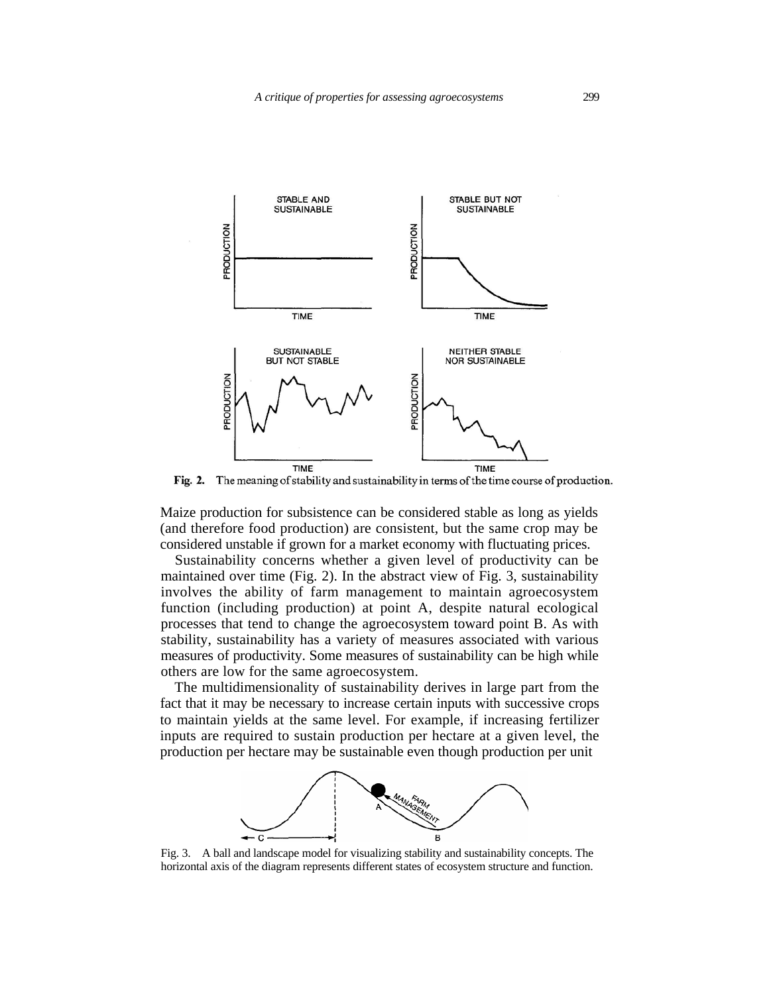

Fig. 2. The meaning of stability and sustainability in terms of the time course of production.

Maize production for subsistence can be considered stable as long as yields (and therefore food production) are consistent, but the same crop may be considered unstable if grown for a market economy with fluctuating prices.

Sustainability concerns whether a given level of productivity can be maintained over time (Fig. 2). In the abstract view of Fig. 3, sustainability involves the ability of farm management to maintain agroecosystem function (including production) at point A, despite natural ecological processes that tend to change the agroecosystem toward point B. As with stability, sustainability has a variety of measures associated with various measures of productivity. Some measures of sustainability can be high while others are low for the same agroecosystem.

The multidimensionality of sustainability derives in large part from the fact that it may be necessary to increase certain inputs with successive crops to maintain yields at the same level. For example, if increasing fertilizer inputs are required to sustain production per hectare at a given level, the production per hectare may be sustainable even though production per unit



Fig. 3. A ball and landscape model for visualizing stability and sustainability concepts. The horizontal axis of the diagram represents different states of ecosystem structure and function.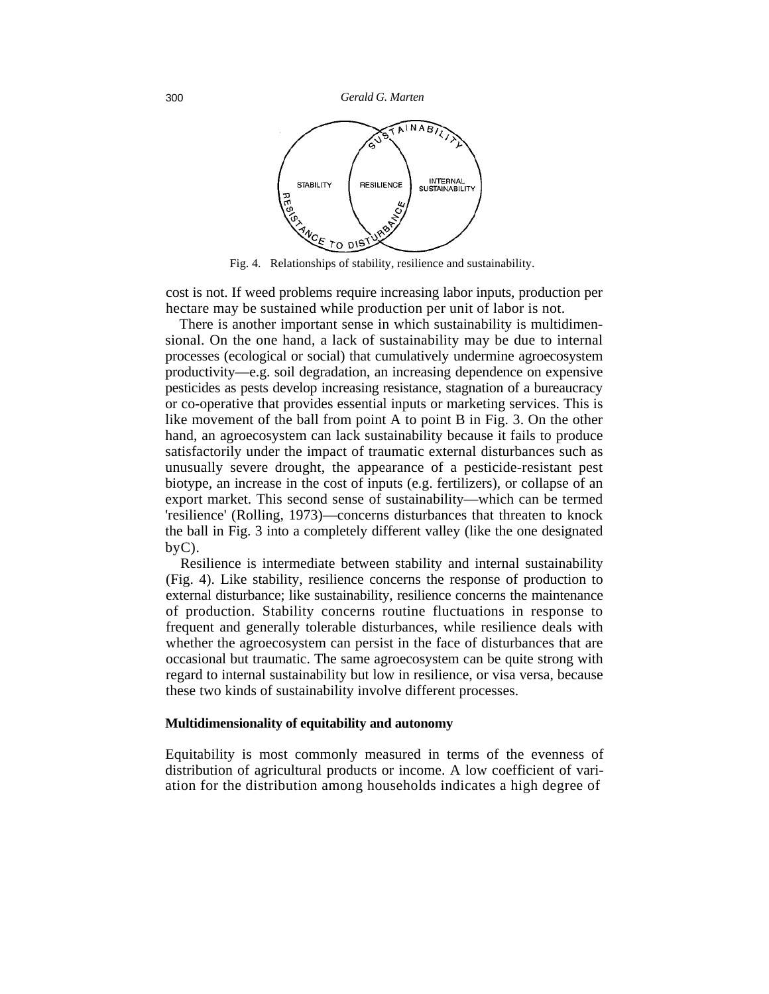

Fig. 4. Relationships of stability, resilience and sustainability.

cost is not. If weed problems require increasing labor inputs, production per hectare may be sustained while production per unit of labor is not.

There is another important sense in which sustainability is multidimensional. On the one hand, a lack of sustainability may be due to internal processes (ecological or social) that cumulatively undermine agroecosystem productivity—e.g. soil degradation, an increasing dependence on expensive pesticides as pests develop increasing resistance, stagnation of a bureaucracy or co-operative that provides essential inputs or marketing services. This is like movement of the ball from point A to point B in Fig. 3. On the other hand, an agroecosystem can lack sustainability because it fails to produce satisfactorily under the impact of traumatic external disturbances such as unusually severe drought, the appearance of a pesticide-resistant pest biotype, an increase in the cost of inputs (e.g. fertilizers), or collapse of an export market. This second sense of sustainability—which can be termed 'resilience' (Rolling, 1973)—concerns disturbances that threaten to knock the ball in Fig. 3 into a completely different valley (like the one designated byC).

Resilience is intermediate between stability and internal sustainability (Fig. 4). Like stability, resilience concerns the response of production to external disturbance; like sustainability, resilience concerns the maintenance of production. Stability concerns routine fluctuations in response to frequent and generally tolerable disturbances, while resilience deals with whether the agroecosystem can persist in the face of disturbances that are occasional but traumatic. The same agroecosystem can be quite strong with regard to internal sustainability but low in resilience, or visa versa, because these two kinds of sustainability involve different processes.

## **Multidimensionality of equitability and autonomy**

Equitability is most commonly measured in terms of the evenness of distribution of agricultural products or income. A low coefficient of variation for the distribution among households indicates a high degree of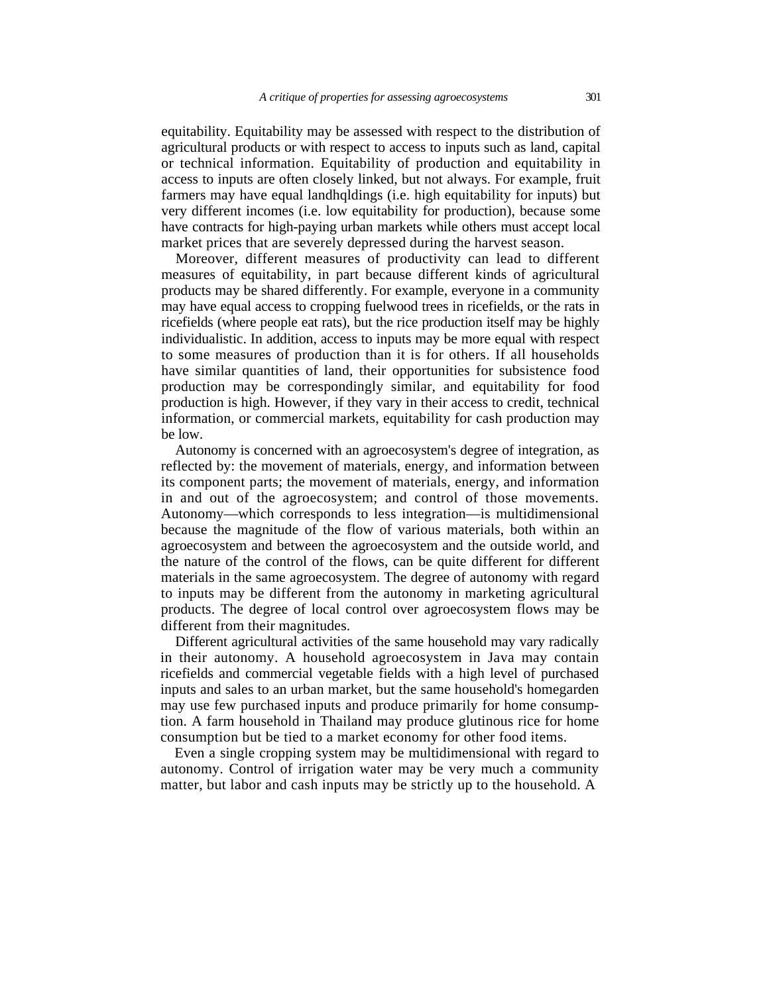equitability. Equitability may be assessed with respect to the distribution of agricultural products or with respect to access to inputs such as land, capital or technical information. Equitability of production and equitability in access to inputs are often closely linked, but not always. For example, fruit farmers may have equal landhqldings (i.e. high equitability for inputs) but very different incomes (i.e. low equitability for production), because some have contracts for high-paying urban markets while others must accept local market prices that are severely depressed during the harvest season.

Moreover, different measures of productivity can lead to different measures of equitability, in part because different kinds of agricultural products may be shared differently. For example, everyone in a community may have equal access to cropping fuelwood trees in ricefields, or the rats in ricefields (where people eat rats), but the rice production itself may be highly individualistic. In addition, access to inputs may be more equal with respect to some measures of production than it is for others. If all households have similar quantities of land, their opportunities for subsistence food production may be correspondingly similar, and equitability for food production is high. However, if they vary in their access to credit, technical information, or commercial markets, equitability for cash production may be low.

Autonomy is concerned with an agroecosystem's degree of integration, as reflected by: the movement of materials, energy, and information between its component parts; the movement of materials, energy, and information in and out of the agroecosystem; and control of those movements. Autonomy—which corresponds to less integration—is multidimensional because the magnitude of the flow of various materials, both within an agroecosystem and between the agroecosystem and the outside world, and the nature of the control of the flows, can be quite different for different materials in the same agroecosystem. The degree of autonomy with regard to inputs may be different from the autonomy in marketing agricultural products. The degree of local control over agroecosystem flows may be different from their magnitudes.

Different agricultural activities of the same household may vary radically in their autonomy. A household agroecosystem in Java may contain ricefields and commercial vegetable fields with a high level of purchased inputs and sales to an urban market, but the same household's homegarden may use few purchased inputs and produce primarily for home consumption. A farm household in Thailand may produce glutinous rice for home consumption but be tied to a market economy for other food items.

Even a single cropping system may be multidimensional with regard to autonomy. Control of irrigation water may be very much a community matter, but labor and cash inputs may be strictly up to the household. A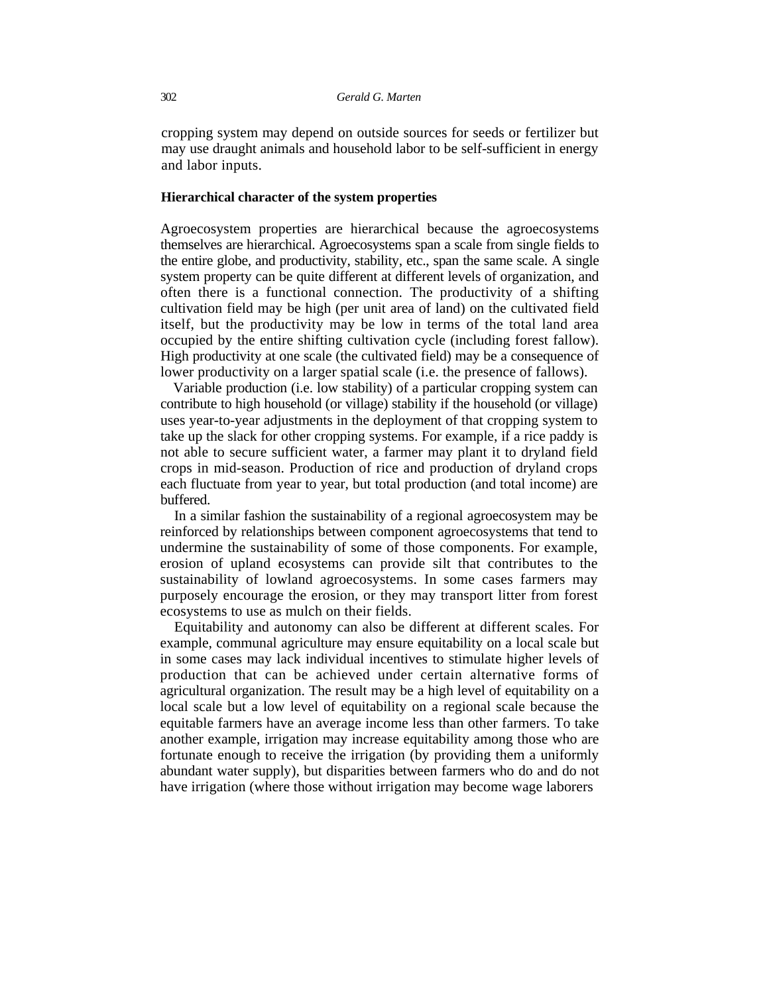cropping system may depend on outside sources for seeds or fertilizer but may use draught animals and household labor to be self-sufficient in energy and labor inputs.

# **Hierarchical character of the system properties**

Agroecosystem properties are hierarchical because the agroecosystems themselves are hierarchical. Agroecosystems span a scale from single fields to the entire globe, and productivity, stability, etc., span the same scale. A single system property can be quite different at different levels of organization, and often there is a functional connection. The productivity of a shifting cultivation field may be high (per unit area of land) on the cultivated field itself, but the productivity may be low in terms of the total land area occupied by the entire shifting cultivation cycle (including forest fallow). High productivity at one scale (the cultivated field) may be a consequence of lower productivity on a larger spatial scale (i.e. the presence of fallows).

Variable production (i.e. low stability) of a particular cropping system can contribute to high household (or village) stability if the household (or village) uses year-to-year adjustments in the deployment of that cropping system to take up the slack for other cropping systems. For example, if a rice paddy is not able to secure sufficient water, a farmer may plant it to dryland field crops in mid-season. Production of rice and production of dryland crops each fluctuate from year to year, but total production (and total income) are buffered.

In a similar fashion the sustainability of a regional agroecosystem may be reinforced by relationships between component agroecosystems that tend to undermine the sustainability of some of those components. For example, erosion of upland ecosystems can provide silt that contributes to the sustainability of lowland agroecosystems. In some cases farmers may purposely encourage the erosion, or they may transport litter from forest ecosystems to use as mulch on their fields.

Equitability and autonomy can also be different at different scales. For example, communal agriculture may ensure equitability on a local scale but in some cases may lack individual incentives to stimulate higher levels of production that can be achieved under certain alternative forms of agricultural organization. The result may be a high level of equitability on a local scale but a low level of equitability on a regional scale because the equitable farmers have an average income less than other farmers. To take another example, irrigation may increase equitability among those who are fortunate enough to receive the irrigation (by providing them a uniformly abundant water supply), but disparities between farmers who do and do not have irrigation (where those without irrigation may become wage laborers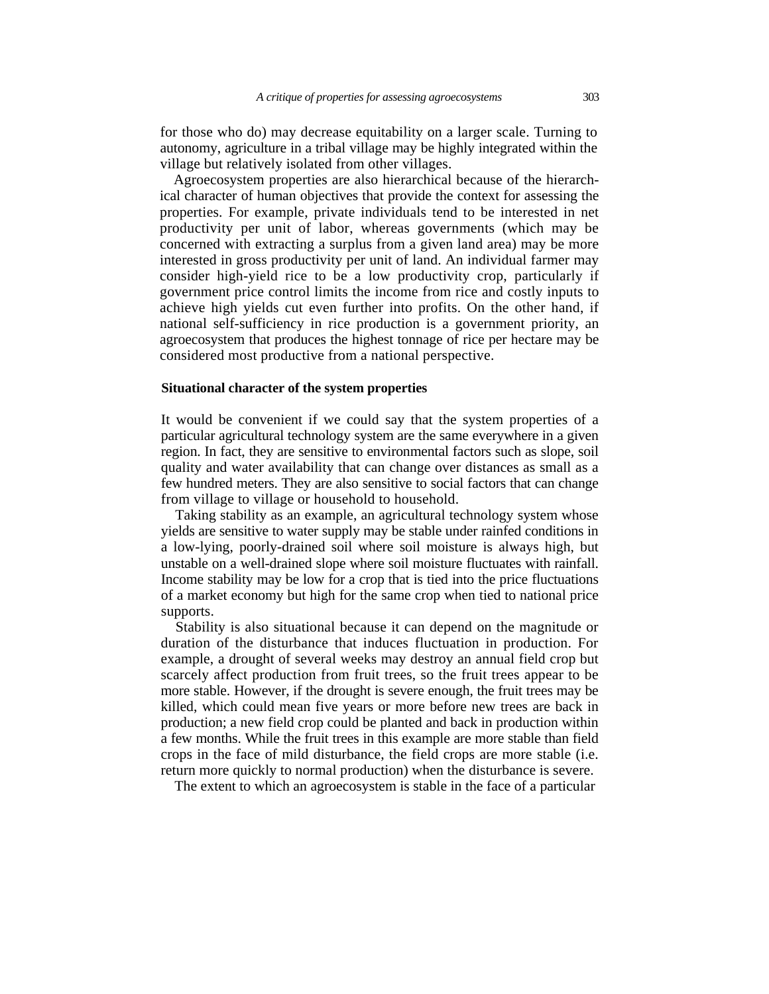for those who do) may decrease equitability on a larger scale. Turning to autonomy, agriculture in a tribal village may be highly integrated within the village but relatively isolated from other villages.

Agroecosystem properties are also hierarchical because of the hierarchical character of human objectives that provide the context for assessing the properties. For example, private individuals tend to be interested in net productivity per unit of labor, whereas governments (which may be concerned with extracting a surplus from a given land area) may be more interested in gross productivity per unit of land. An individual farmer may consider high-yield rice to be a low productivity crop, particularly if government price control limits the income from rice and costly inputs to achieve high yields cut even further into profits. On the other hand, if national self-sufficiency in rice production is a government priority, an agroecosystem that produces the highest tonnage of rice per hectare may be considered most productive from a national perspective.

## **Situational character of the system properties**

It would be convenient if we could say that the system properties of a particular agricultural technology system are the same everywhere in a given region. In fact, they are sensitive to environmental factors such as slope, soil quality and water availability that can change over distances as small as a few hundred meters. They are also sensitive to social factors that can change from village to village or household to household.

Taking stability as an example, an agricultural technology system whose yields are sensitive to water supply may be stable under rainfed conditions in a low-lying, poorly-drained soil where soil moisture is always high, but unstable on a well-drained slope where soil moisture fluctuates with rainfall. Income stability may be low for a crop that is tied into the price fluctuations of a market economy but high for the same crop when tied to national price supports.

Stability is also situational because it can depend on the magnitude or duration of the disturbance that induces fluctuation in production. For example, a drought of several weeks may destroy an annual field crop but scarcely affect production from fruit trees, so the fruit trees appear to be more stable. However, if the drought is severe enough, the fruit trees may be killed, which could mean five years or more before new trees are back in production; a new field crop could be planted and back in production within a few months. While the fruit trees in this example are more stable than field crops in the face of mild disturbance, the field crops are more stable (i.e. return more quickly to normal production) when the disturbance is severe.

The extent to which an agroecosystem is stable in the face of a particular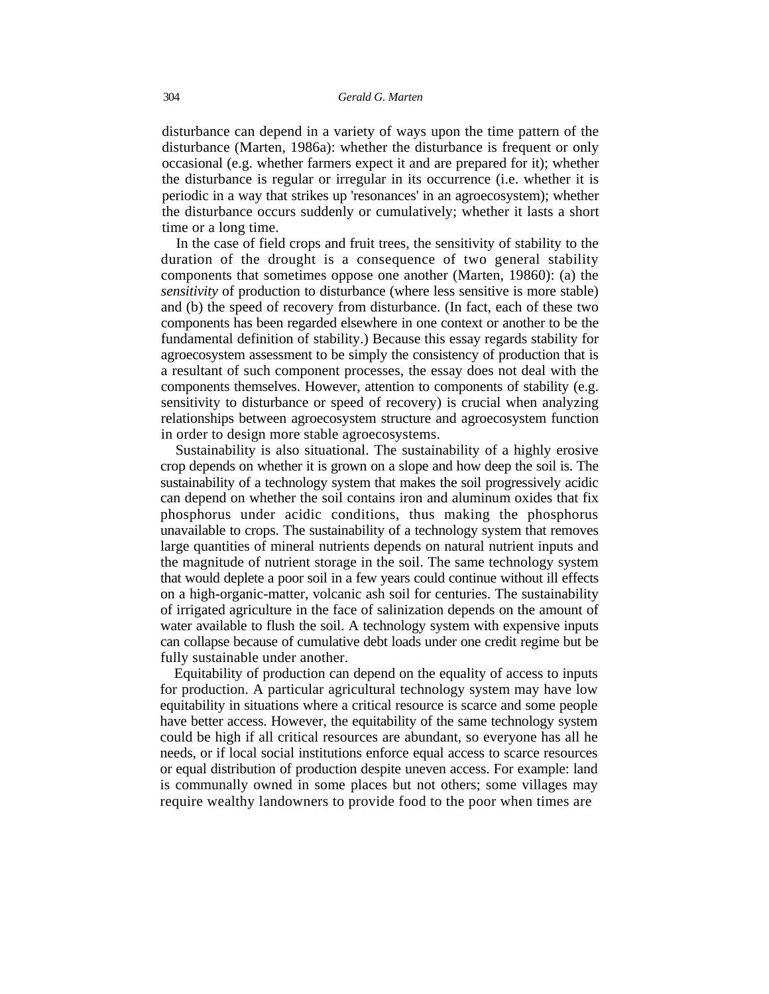disturbance can depend in a variety of ways upon the time pattern of the disturbance (Marten, 1986a): whether the disturbance is frequent or only occasional (e.g. whether farmers expect it and are prepared for it); whether the disturbance is regular or irregular in its occurrence (i.e. whether it is periodic in a way that strikes up 'resonances' in an agroecosystem); whether the disturbance occurs suddenly or cumulatively; whether it lasts a short time or a long time.

In the case of field crops and fruit trees, the sensitivity of stability to the duration of the drought is a consequence of two general stability components that sometimes oppose one another (Marten, 19860): (a) the *sensitivity* of production to disturbance (where less sensitive is more stable) and (b) the speed of recovery from disturbance. (In fact, each of these two components has been regarded elsewhere in one context or another to be the fundamental definition of stability.) Because this essay regards stability for agroecosystem assessment to be simply the consistency of production that is a resultant of such component processes, the essay does not deal with the components themselves. However, attention to components of stability (e.g. sensitivity to disturbance or speed of recovery) is crucial when analyzing relationships between agroecosystem structure and agroecosystem function in order to design more stable agroecosystems.

Sustainability is also situational. The sustainability of a highly erosive crop depends on whether it is grown on a slope and how deep the soil is. The sustainability of a technology system that makes the soil progressively acidic can depend on whether the soil contains iron and aluminum oxides that fix phosphorus under acidic conditions, thus making the phosphorus unavailable to crops. The sustainability of a technology system that removes large quantities of mineral nutrients depends on natural nutrient inputs and the magnitude of nutrient storage in the soil. The same technology system that would deplete a poor soil in a few years could continue without ill effects on a high-organic-matter, volcanic ash soil for centuries. The sustainability of irrigated agriculture in the face of salinization depends on the amount of water available to flush the soil. A technology system with expensive inputs can collapse because of cumulative debt loads under one credit regime but be fully sustainable under another.

Equitability of production can depend on the equality of access to inputs for production. A particular agricultural technology system may have low equitability in situations where a critical resource is scarce and some people have better access. However, the equitability of the same technology system could be high if all critical resources are abundant, so everyone has all he needs, or if local social institutions enforce equal access to scarce resources or equal distribution of production despite uneven access. For example: land is communally owned in some places but not others; some villages may require wealthy landowners to provide food to the poor when times are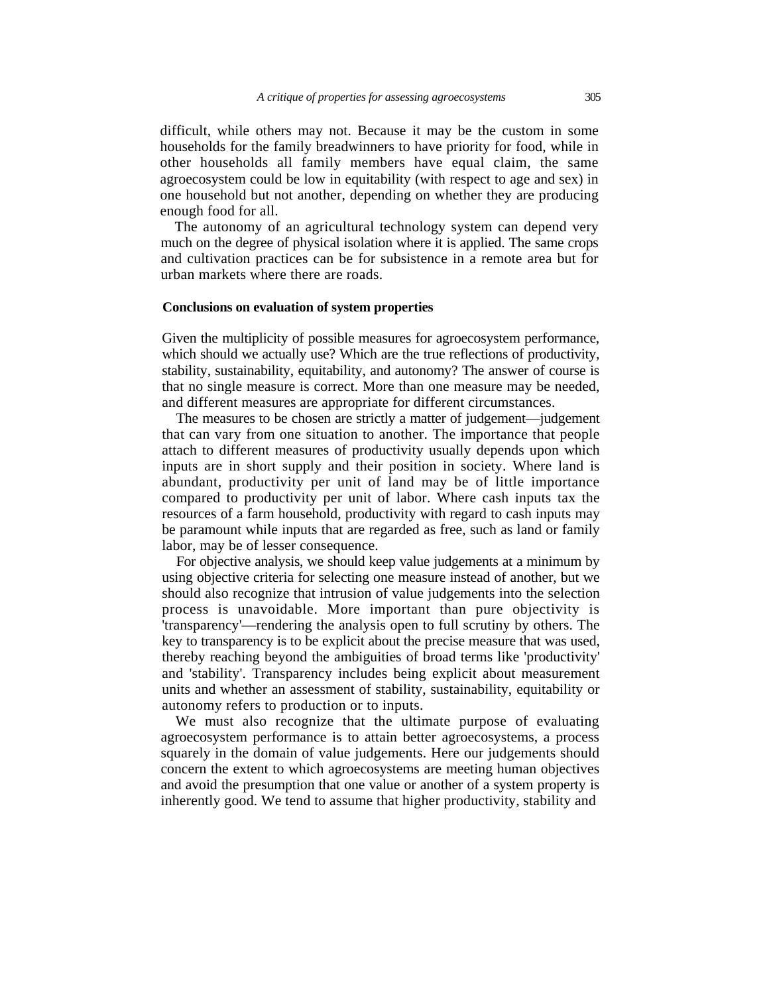difficult, while others may not. Because it may be the custom in some households for the family breadwinners to have priority for food, while in other households all family members have equal claim, the same agroecosystem could be low in equitability (with respect to age and sex) in one household but not another, depending on whether they are producing enough food for all.

The autonomy of an agricultural technology system can depend very much on the degree of physical isolation where it is applied. The same crops and cultivation practices can be for subsistence in a remote area but for urban markets where there are roads.

## **Conclusions on evaluation of system properties**

Given the multiplicity of possible measures for agroecosystem performance, which should we actually use? Which are the true reflections of productivity, stability, sustainability, equitability, and autonomy? The answer of course is that no single measure is correct. More than one measure may be needed, and different measures are appropriate for different circumstances.

The measures to be chosen are strictly a matter of judgement—judgement that can vary from one situation to another. The importance that people attach to different measures of productivity usually depends upon which inputs are in short supply and their position in society. Where land is abundant, productivity per unit of land may be of little importance compared to productivity per unit of labor. Where cash inputs tax the resources of a farm household, productivity with regard to cash inputs may be paramount while inputs that are regarded as free, such as land or family labor, may be of lesser consequence.

For objective analysis, we should keep value judgements at a minimum by using objective criteria for selecting one measure instead of another, but we should also recognize that intrusion of value judgements into the selection process is unavoidable. More important than pure objectivity is 'transparency'—rendering the analysis open to full scrutiny by others. The key to transparency is to be explicit about the precise measure that was used, thereby reaching beyond the ambiguities of broad terms like 'productivity' and 'stability'. Transparency includes being explicit about measurement units and whether an assessment of stability, sustainability, equitability or autonomy refers to production or to inputs.

We must also recognize that the ultimate purpose of evaluating agroecosystem performance is to attain better agroecosystems, a process squarely in the domain of value judgements. Here our judgements should concern the extent to which agroecosystems are meeting human objectives and avoid the presumption that one value or another of a system property is inherently good. We tend to assume that higher productivity, stability and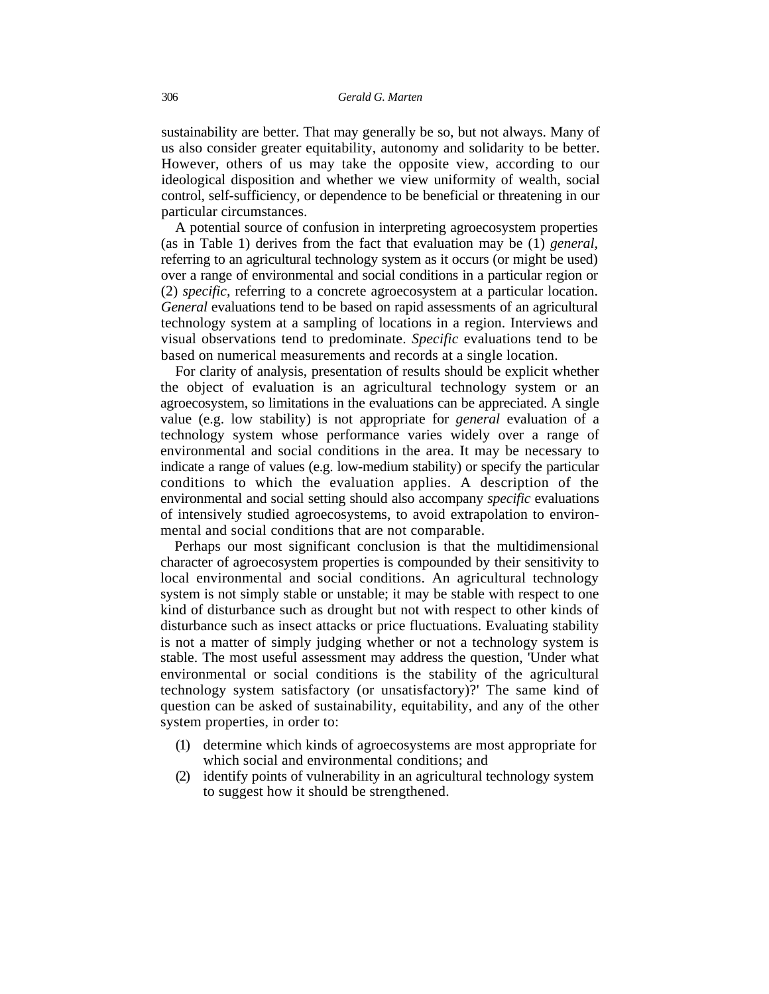sustainability are better. That may generally be so, but not always. Many of us also consider greater equitability, autonomy and solidarity to be better. However, others of us may take the opposite view, according to our ideological disposition and whether we view uniformity of wealth, social control, self-sufficiency, or dependence to be beneficial or threatening in our particular circumstances.

A potential source of confusion in interpreting agroecosystem properties (as in Table 1) derives from the fact that evaluation may be (1) *general,*  referring to an agricultural technology system as it occurs (or might be used) over a range of environmental and social conditions in a particular region or (2) *specific,* referring to a concrete agroecosystem at a particular location. *General* evaluations tend to be based on rapid assessments of an agricultural technology system at a sampling of locations in a region. Interviews and visual observations tend to predominate. *Specific* evaluations tend to be based on numerical measurements and records at a single location.

For clarity of analysis, presentation of results should be explicit whether the object of evaluation is an agricultural technology system or an agroecosystem, so limitations in the evaluations can be appreciated. A single value (e.g. low stability) is not appropriate for *general* evaluation of a technology system whose performance varies widely over a range of environmental and social conditions in the area. It may be necessary to indicate a range of values (e.g. low-medium stability) or specify the particular conditions to which the evaluation applies. A description of the environmental and social setting should also accompany *specific* evaluations of intensively studied agroecosystems, to avoid extrapolation to environmental and social conditions that are not comparable.

Perhaps our most significant conclusion is that the multidimensional character of agroecosystem properties is compounded by their sensitivity to local environmental and social conditions. An agricultural technology system is not simply stable or unstable; it may be stable with respect to one kind of disturbance such as drought but not with respect to other kinds of disturbance such as insect attacks or price fluctuations. Evaluating stability is not a matter of simply judging whether or not a technology system is stable. The most useful assessment may address the question, 'Under what environmental or social conditions is the stability of the agricultural technology system satisfactory (or unsatisfactory)?' The same kind of question can be asked of sustainability, equitability, and any of the other system properties, in order to:

- (1) determine which kinds of agroecosystems are most appropriate for which social and environmental conditions; and
- (2) identify points of vulnerability in an agricultural technology system to suggest how it should be strengthened.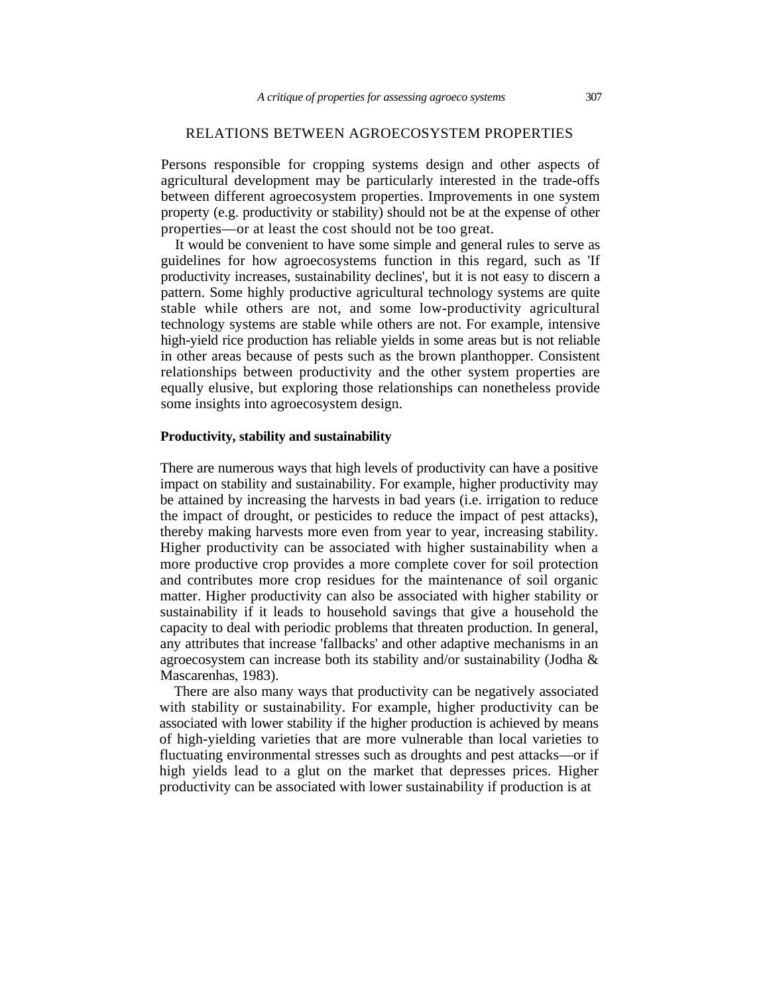# RELATIONS BETWEEN AGROECOSYSTEM PROPERTIES

Persons responsible for cropping systems design and other aspects of agricultural development may be particularly interested in the trade-offs between different agroecosystem properties. Improvements in one system property (e.g. productivity or stability) should not be at the expense of other properties—or at least the cost should not be too great.

It would be convenient to have some simple and general rules to serve as guidelines for how agroecosystems function in this regard, such as 'If productivity increases, sustainability declines', but it is not easy to discern a pattern. Some highly productive agricultural technology systems are quite stable while others are not, and some low-productivity agricultural technology systems are stable while others are not. For example, intensive high-yield rice production has reliable yields in some areas but is not reliable in other areas because of pests such as the brown planthopper. Consistent relationships between productivity and the other system properties are equally elusive, but exploring those relationships can nonetheless provide some insights into agroecosystem design.

### **Productivity, stability and sustainability**

There are numerous ways that high levels of productivity can have a positive impact on stability and sustainability. For example, higher productivity may be attained by increasing the harvests in bad years (i.e. irrigation to reduce the impact of drought, or pesticides to reduce the impact of pest attacks), thereby making harvests more even from year to year, increasing stability. Higher productivity can be associated with higher sustainability when a more productive crop provides a more complete cover for soil protection and contributes more crop residues for the maintenance of soil organic matter. Higher productivity can also be associated with higher stability or sustainability if it leads to household savings that give a household the capacity to deal with periodic problems that threaten production. In general, any attributes that increase 'fallbacks' and other adaptive mechanisms in an agroecosystem can increase both its stability and/or sustainability (Jodha & Mascarenhas, 1983).

There are also many ways that productivity can be negatively associated with stability or sustainability. For example, higher productivity can be associated with lower stability if the higher production is achieved by means of high-yielding varieties that are more vulnerable than local varieties to fluctuating environmental stresses such as droughts and pest attacks—or if high yields lead to a glut on the market that depresses prices. Higher productivity can be associated with lower sustainability if production is at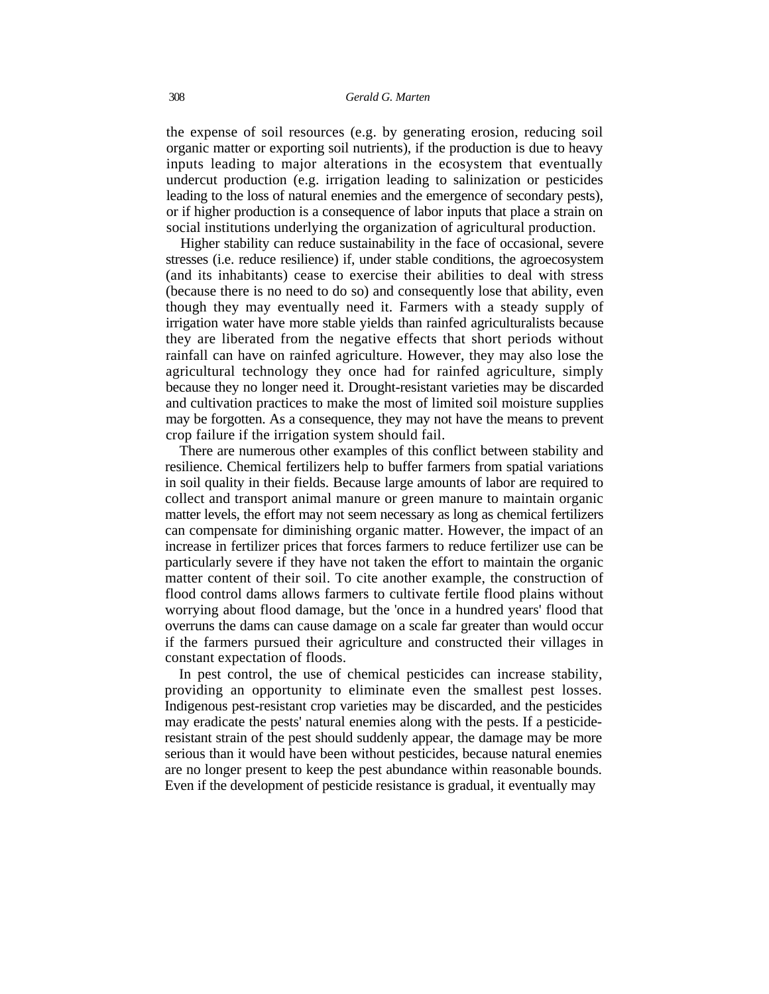the expense of soil resources (e.g. by generating erosion, reducing soil organic matter or exporting soil nutrients), if the production is due to heavy inputs leading to major alterations in the ecosystem that eventually undercut production (e.g. irrigation leading to salinization or pesticides leading to the loss of natural enemies and the emergence of secondary pests), or if higher production is a consequence of labor inputs that place a strain on social institutions underlying the organization of agricultural production.

Higher stability can reduce sustainability in the face of occasional, severe stresses (i.e. reduce resilience) if, under stable conditions, the agroecosystem (and its inhabitants) cease to exercise their abilities to deal with stress (because there is no need to do so) and consequently lose that ability, even though they may eventually need it. Farmers with a steady supply of irrigation water have more stable yields than rainfed agriculturalists because they are liberated from the negative effects that short periods without rainfall can have on rainfed agriculture. However, they may also lose the agricultural technology they once had for rainfed agriculture, simply because they no longer need it. Drought-resistant varieties may be discarded and cultivation practices to make the most of limited soil moisture supplies may be forgotten. As a consequence, they may not have the means to prevent crop failure if the irrigation system should fail.

There are numerous other examples of this conflict between stability and resilience. Chemical fertilizers help to buffer farmers from spatial variations in soil quality in their fields. Because large amounts of labor are required to collect and transport animal manure or green manure to maintain organic matter levels, the effort may not seem necessary as long as chemical fertilizers can compensate for diminishing organic matter. However, the impact of an increase in fertilizer prices that forces farmers to reduce fertilizer use can be particularly severe if they have not taken the effort to maintain the organic matter content of their soil. To cite another example, the construction of flood control dams allows farmers to cultivate fertile flood plains without worrying about flood damage, but the 'once in a hundred years' flood that overruns the dams can cause damage on a scale far greater than would occur if the farmers pursued their agriculture and constructed their villages in constant expectation of floods.

In pest control, the use of chemical pesticides can increase stability, providing an opportunity to eliminate even the smallest pest losses. Indigenous pest-resistant crop varieties may be discarded, and the pesticides may eradicate the pests' natural enemies along with the pests. If a pesticideresistant strain of the pest should suddenly appear, the damage may be more serious than it would have been without pesticides, because natural enemies are no longer present to keep the pest abundance within reasonable bounds. Even if the development of pesticide resistance is gradual, it eventually may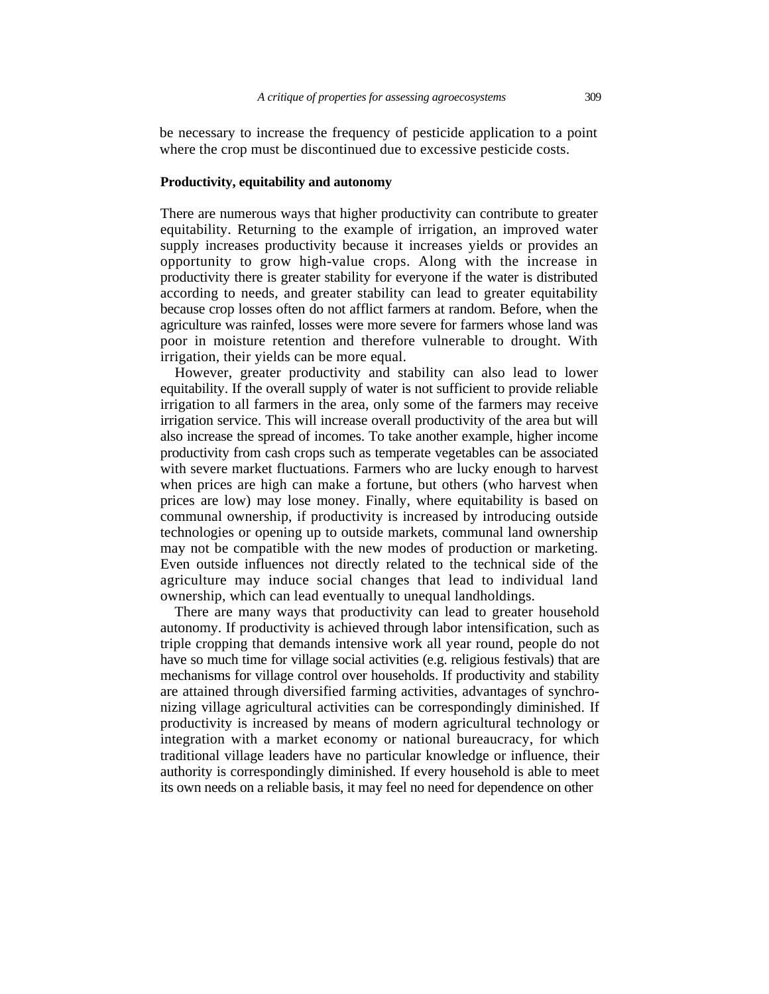be necessary to increase the frequency of pesticide application to a point where the crop must be discontinued due to excessive pesticide costs.

# **Productivity, equitability and autonomy**

There are numerous ways that higher productivity can contribute to greater equitability. Returning to the example of irrigation, an improved water supply increases productivity because it increases yields or provides an opportunity to grow high-value crops. Along with the increase in productivity there is greater stability for everyone if the water is distributed according to needs, and greater stability can lead to greater equitability because crop losses often do not afflict farmers at random. Before, when the agriculture was rainfed, losses were more severe for farmers whose land was poor in moisture retention and therefore vulnerable to drought. With irrigation, their yields can be more equal.

However, greater productivity and stability can also lead to lower equitability. If the overall supply of water is not sufficient to provide reliable irrigation to all farmers in the area, only some of the farmers may receive irrigation service. This will increase overall productivity of the area but will also increase the spread of incomes. To take another example, higher income productivity from cash crops such as temperate vegetables can be associated with severe market fluctuations. Farmers who are lucky enough to harvest when prices are high can make a fortune, but others (who harvest when prices are low) may lose money. Finally, where equitability is based on communal ownership, if productivity is increased by introducing outside technologies or opening up to outside markets, communal land ownership may not be compatible with the new modes of production or marketing. Even outside influences not directly related to the technical side of the agriculture may induce social changes that lead to individual land ownership, which can lead eventually to unequal landholdings.

There are many ways that productivity can lead to greater household autonomy. If productivity is achieved through labor intensification, such as triple cropping that demands intensive work all year round, people do not have so much time for village social activities (e.g. religious festivals) that are mechanisms for village control over households. If productivity and stability are attained through diversified farming activities, advantages of synchronizing village agricultural activities can be correspondingly diminished. If productivity is increased by means of modern agricultural technology or integration with a market economy or national bureaucracy, for which traditional village leaders have no particular knowledge or influence, their authority is correspondingly diminished. If every household is able to meet its own needs on a reliable basis, it may feel no need for dependence on other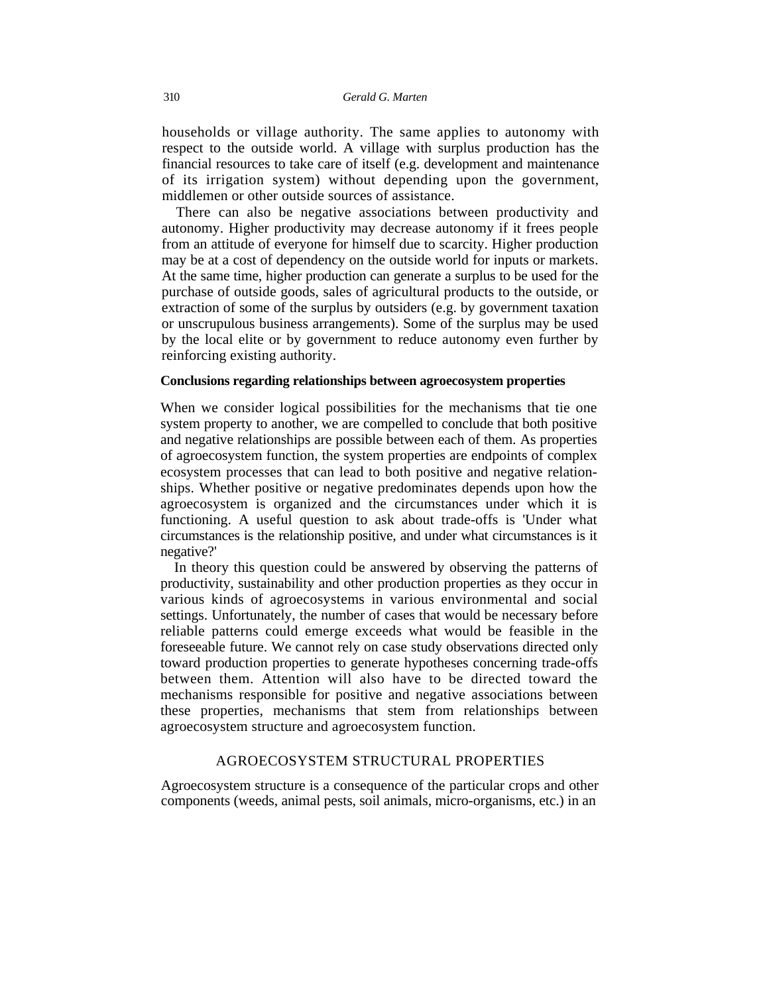households or village authority. The same applies to autonomy with respect to the outside world. A village with surplus production has the financial resources to take care of itself (e.g. development and maintenance of its irrigation system) without depending upon the government, middlemen or other outside sources of assistance.

There can also be negative associations between productivity and autonomy. Higher productivity may decrease autonomy if it frees people from an attitude of everyone for himself due to scarcity. Higher production may be at a cost of dependency on the outside world for inputs or markets. At the same time, higher production can generate a surplus to be used for the purchase of outside goods, sales of agricultural products to the outside, or extraction of some of the surplus by outsiders (e.g. by government taxation or unscrupulous business arrangements). Some of the surplus may be used by the local elite or by government to reduce autonomy even further by reinforcing existing authority.

# **Conclusions regarding relationships between agroecosystem properties**

When we consider logical possibilities for the mechanisms that tie one system property to another, we are compelled to conclude that both positive and negative relationships are possible between each of them. As properties of agroecosystem function, the system properties are endpoints of complex ecosystem processes that can lead to both positive and negative relationships. Whether positive or negative predominates depends upon how the agroecosystem is organized and the circumstances under which it is functioning. A useful question to ask about trade-offs is 'Under what circumstances is the relationship positive, and under what circumstances is it negative?'

In theory this question could be answered by observing the patterns of productivity, sustainability and other production properties as they occur in various kinds of agroecosystems in various environmental and social settings. Unfortunately, the number of cases that would be necessary before reliable patterns could emerge exceeds what would be feasible in the foreseeable future. We cannot rely on case study observations directed only toward production properties to generate hypotheses concerning trade-offs between them. Attention will also have to be directed toward the mechanisms responsible for positive and negative associations between these properties, mechanisms that stem from relationships between agroecosystem structure and agroecosystem function.

# AGROECOSYSTEM STRUCTURAL PROPERTIES

Agroecosystem structure is a consequence of the particular crops and other components (weeds, animal pests, soil animals, micro-organisms, etc.) in an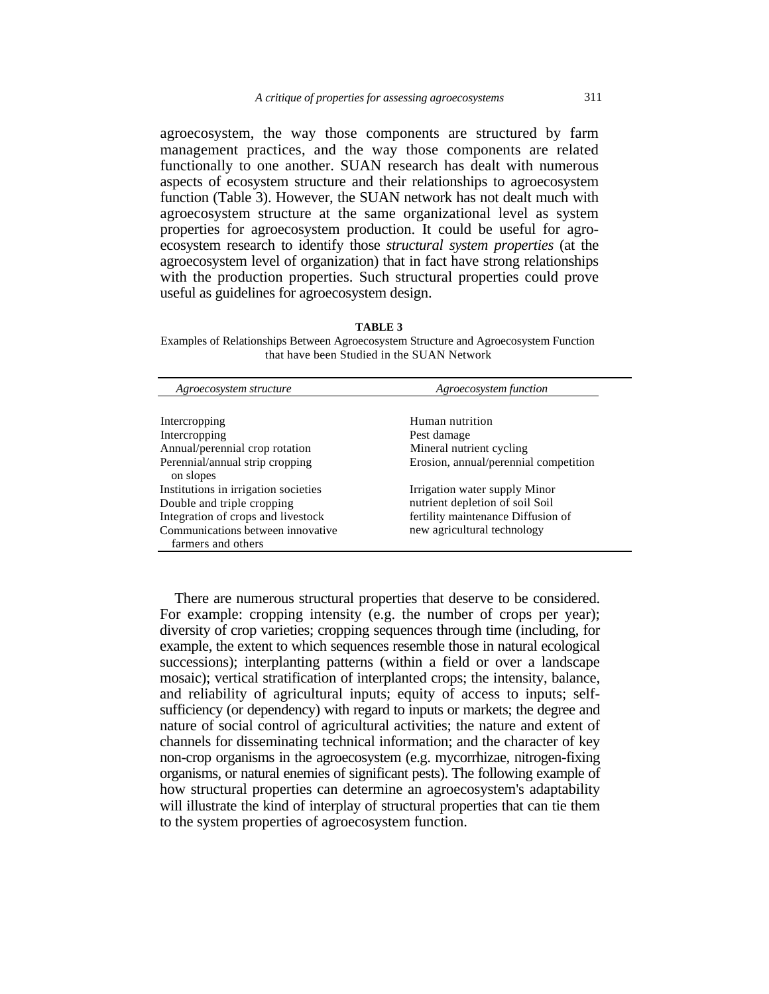agroecosystem, the way those components are structured by farm management practices, and the way those components are related functionally to one another. SUAN research has dealt with numerous aspects of ecosystem structure and their relationships to agroecosystem function (Table 3). However, the SUAN network has not dealt much with agroecosystem structure at the same organizational level as system properties for agroecosystem production. It could be useful for agroecosystem research to identify those *structural system properties* (at the agroecosystem level of organization) that in fact have strong relationships with the production properties. Such structural properties could prove useful as guidelines for agroecosystem design.

#### **TABLE 3**

Examples of Relationships Between Agroecosystem Structure and Agroecosystem Function that have been Studied in the SUAN Network

| Agroecosystem structure                      | Agroecosystem function                |  |
|----------------------------------------------|---------------------------------------|--|
|                                              | Human nutrition                       |  |
| Intercropping                                |                                       |  |
| Intercropping                                | Pest damage                           |  |
| Annual/perennial crop rotation               | Mineral nutrient cycling              |  |
| Perennial/annual strip cropping<br>on slopes | Erosion, annual/perennial competition |  |
| Institutions in irrigation societies         | Irrigation water supply Minor         |  |
| Double and triple cropping                   | nutrient depletion of soil Soil       |  |
| Integration of crops and livestock           | fertility maintenance Diffusion of    |  |
| Communications between innovative            | new agricultural technology           |  |
| farmers and others                           |                                       |  |

There are numerous structural properties that deserve to be considered. For example: cropping intensity (e.g. the number of crops per year); diversity of crop varieties; cropping sequences through time (including, for example, the extent to which sequences resemble those in natural ecological successions); interplanting patterns (within a field or over a landscape mosaic); vertical stratification of interplanted crops; the intensity, balance, and reliability of agricultural inputs; equity of access to inputs; selfsufficiency (or dependency) with regard to inputs or markets; the degree and nature of social control of agricultural activities; the nature and extent of channels for disseminating technical information; and the character of key non-crop organisms in the agroecosystem (e.g. mycorrhizae, nitrogen-fixing organisms, or natural enemies of significant pests). The following example of how structural properties can determine an agroecosystem's adaptability will illustrate the kind of interplay of structural properties that can tie them to the system properties of agroecosystem function.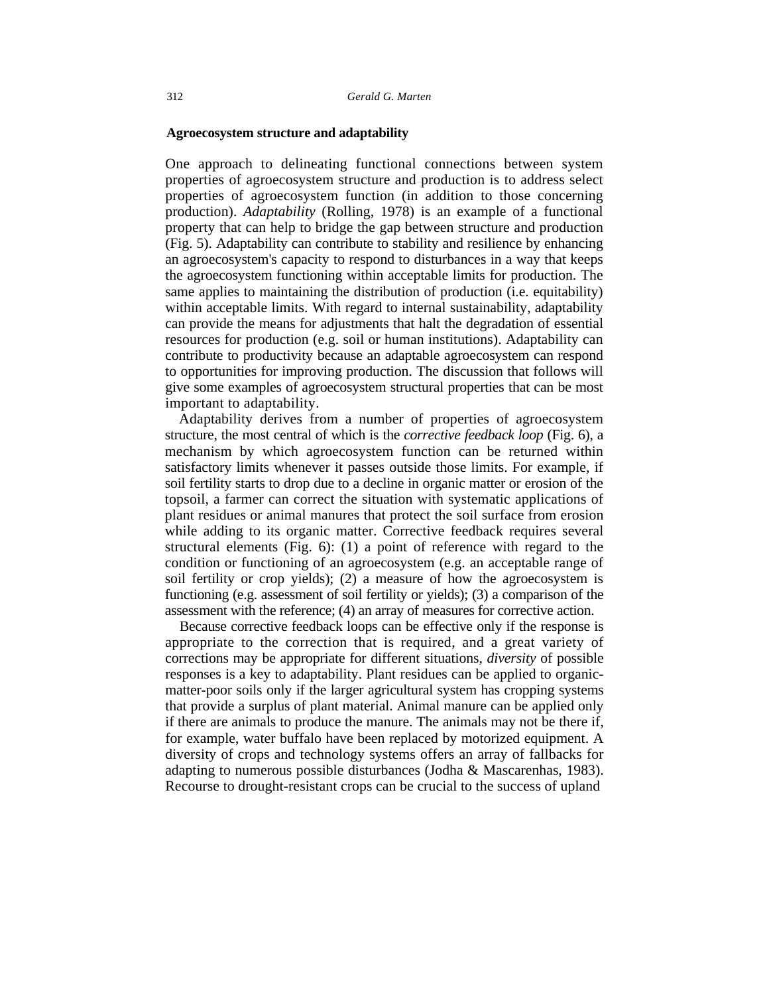## **Agroecosystem structure and adaptability**

One approach to delineating functional connections between system properties of agroecosystem structure and production is to address select properties of agroecosystem function (in addition to those concerning production). *Adaptability* (Rolling, 1978) is an example of a functional property that can help to bridge the gap between structure and production (Fig. 5). Adaptability can contribute to stability and resilience by enhancing an agroecosystem's capacity to respond to disturbances in a way that keeps the agroecosystem functioning within acceptable limits for production. The same applies to maintaining the distribution of production (i.e. equitability) within acceptable limits. With regard to internal sustainability, adaptability can provide the means for adjustments that halt the degradation of essential resources for production (e.g. soil or human institutions). Adaptability can contribute to productivity because an adaptable agroecosystem can respond to opportunities for improving production. The discussion that follows will give some examples of agroecosystem structural properties that can be most important to adaptability.

Adaptability derives from a number of properties of agroecosystem structure, the most central of which is the *corrective feedback loop* (Fig. 6), a mechanism by which agroecosystem function can be returned within satisfactory limits whenever it passes outside those limits. For example, if soil fertility starts to drop due to a decline in organic matter or erosion of the topsoil, a farmer can correct the situation with systematic applications of plant residues or animal manures that protect the soil surface from erosion while adding to its organic matter. Corrective feedback requires several structural elements (Fig. 6): (1) a point of reference with regard to the condition or functioning of an agroecosystem (e.g. an acceptable range of soil fertility or crop yields); (2) a measure of how the agroecosystem is functioning (e.g. assessment of soil fertility or yields); (3) a comparison of the assessment with the reference; (4) an array of measures for corrective action.

Because corrective feedback loops can be effective only if the response is appropriate to the correction that is required, and a great variety of corrections may be appropriate for different situations, *diversity* of possible responses is a key to adaptability. Plant residues can be applied to organicmatter-poor soils only if the larger agricultural system has cropping systems that provide a surplus of plant material. Animal manure can be applied only if there are animals to produce the manure. The animals may not be there if, for example, water buffalo have been replaced by motorized equipment. A diversity of crops and technology systems offers an array of fallbacks for adapting to numerous possible disturbances (Jodha & Mascarenhas, 1983). Recourse to drought-resistant crops can be crucial to the success of upland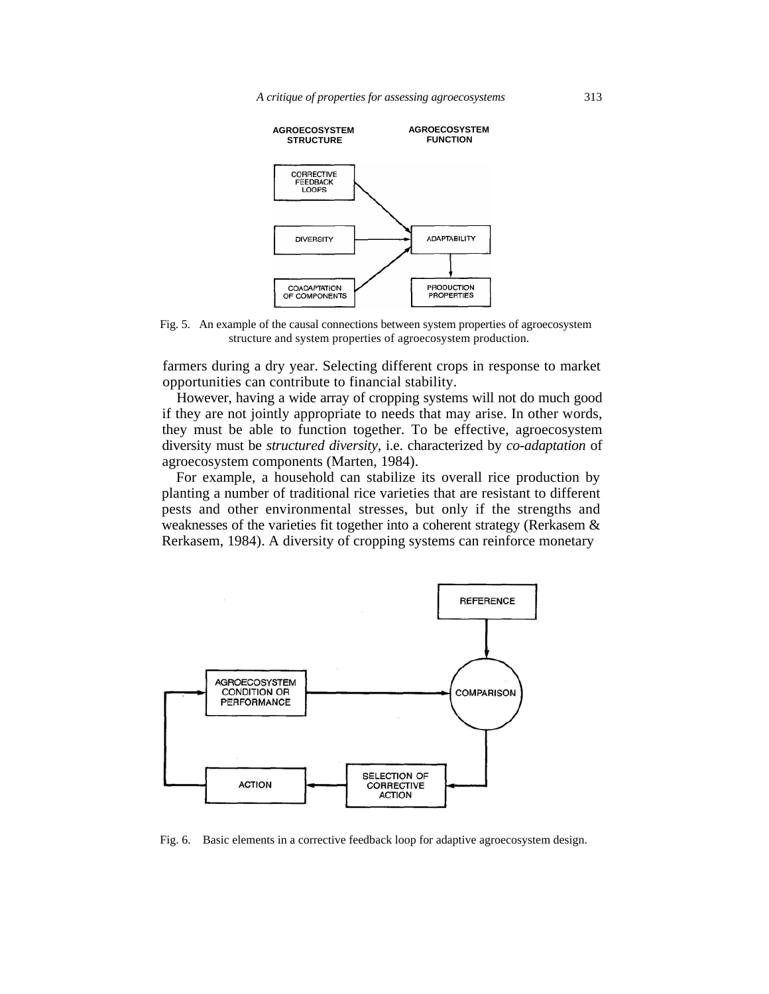*A critique of properties for assessing agroecosystems* 313





farmers during a dry year. Selecting different crops in response to market opportunities can contribute to financial stability.

However, having a wide array of cropping systems will not do much good if they are not jointly appropriate to needs that may arise. In other words, they must be able to function together. To be effective, agroecosystem diversity must be *structured diversity,* i.e. characterized by *co-adaptation* of agroecosystem components (Marten, 1984).

For example, a household can stabilize its overall rice production by planting a number of traditional rice varieties that are resistant to different pests and other environmental stresses, but only if the strengths and weaknesses of the varieties fit together into a coherent strategy (Rerkasem & Rerkasem, 1984). A diversity of cropping systems can reinforce monetary



Fig. 6. Basic elements in a corrective feedback loop for adaptive agroecosystem design.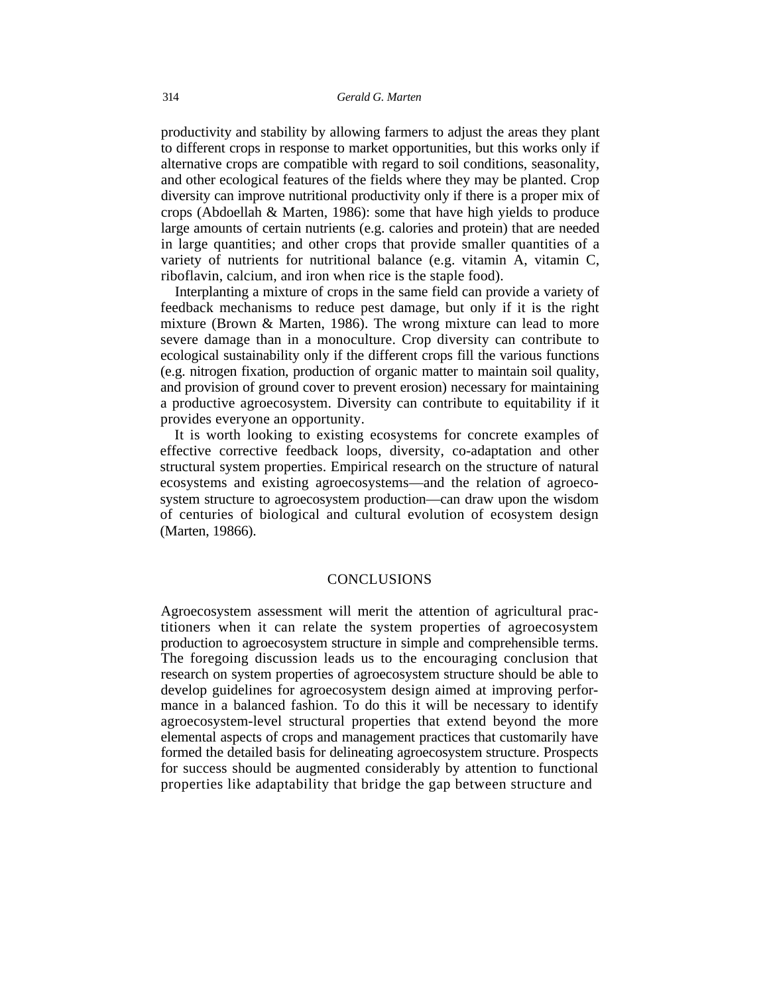productivity and stability by allowing farmers to adjust the areas they plant to different crops in response to market opportunities, but this works only if alternative crops are compatible with regard to soil conditions, seasonality, and other ecological features of the fields where they may be planted. Crop diversity can improve nutritional productivity only if there is a proper mix of crops (Abdoellah & Marten, 1986): some that have high yields to produce large amounts of certain nutrients (e.g. calories and protein) that are needed in large quantities; and other crops that provide smaller quantities of a variety of nutrients for nutritional balance (e.g. vitamin A, vitamin C, riboflavin, calcium, and iron when rice is the staple food).

Interplanting a mixture of crops in the same field can provide a variety of feedback mechanisms to reduce pest damage, but only if it is the right mixture (Brown & Marten, 1986). The wrong mixture can lead to more severe damage than in a monoculture. Crop diversity can contribute to ecological sustainability only if the different crops fill the various functions (e.g. nitrogen fixation, production of organic matter to maintain soil quality, and provision of ground cover to prevent erosion) necessary for maintaining a productive agroecosystem. Diversity can contribute to equitability if it provides everyone an opportunity.

It is worth looking to existing ecosystems for concrete examples of effective corrective feedback loops, diversity, co-adaptation and other structural system properties. Empirical research on the structure of natural ecosystems and existing agroecosystems—and the relation of agroecosystem structure to agroecosystem production—can draw upon the wisdom of centuries of biological and cultural evolution of ecosystem design (Marten, 19866).

# **CONCLUSIONS**

Agroecosystem assessment will merit the attention of agricultural practitioners when it can relate the system properties of agroecosystem production to agroecosystem structure in simple and comprehensible terms. The foregoing discussion leads us to the encouraging conclusion that research on system properties of agroecosystem structure should be able to develop guidelines for agroecosystem design aimed at improving performance in a balanced fashion. To do this it will be necessary to identify agroecosystem-level structural properties that extend beyond the more elemental aspects of crops and management practices that customarily have formed the detailed basis for delineating agroecosystem structure. Prospects for success should be augmented considerably by attention to functional properties like adaptability that bridge the gap between structure and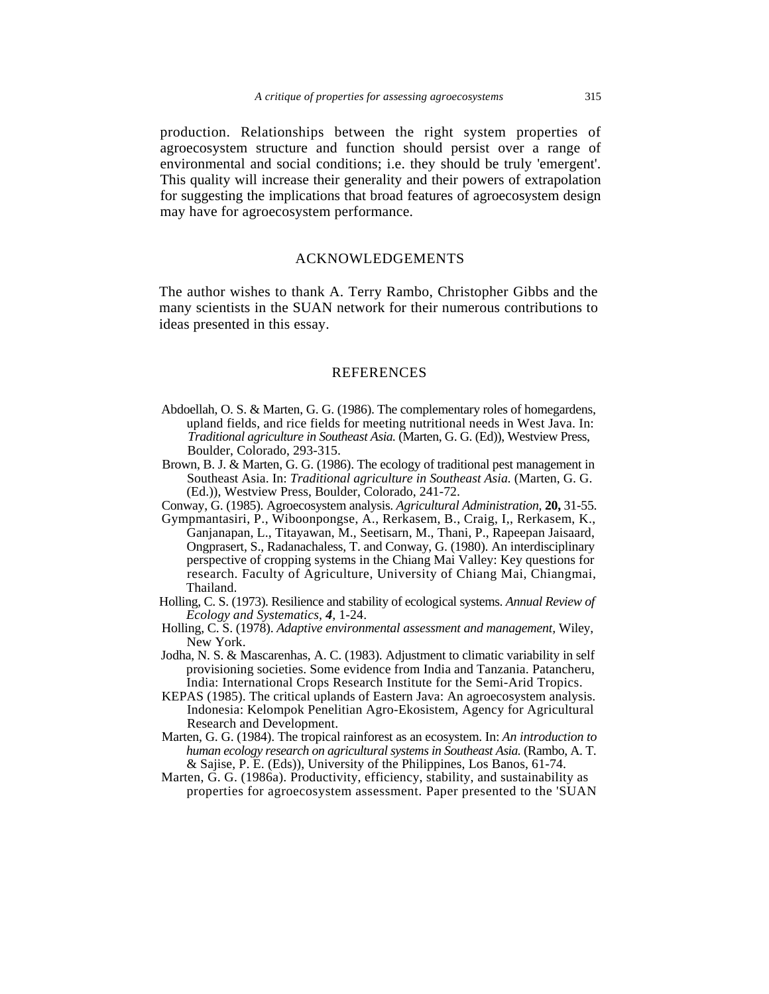production. Relationships between the right system properties of agroecosystem structure and function should persist over a range of environmental and social conditions; i.e. they should be truly 'emergent'. This quality will increase their generality and their powers of extrapolation for suggesting the implications that broad features of agroecosystem design may have for agroecosystem performance.

# ACKNOWLEDGEMENTS

The author wishes to thank A. Terry Rambo, Christopher Gibbs and the many scientists in the SUAN network for their numerous contributions to ideas presented in this essay.

# REFERENCES

- Abdoellah, O. S. & Marten, G. G. (1986). The complementary roles of homegardens, upland fields, and rice fields for meeting nutritional needs in West Java. In: *Traditional agriculture in Southeast Asia.* (Marten, G. G. (Ed)), Westview Press, Boulder, Colorado, 293-315.
- Brown, B. J. & Marten, G. G. (1986). The ecology of traditional pest management in Southeast Asia. In: *Traditional agriculture in Southeast Asia.* (Marten, G. G. (Ed.)), Westview Press, Boulder, Colorado, 241-72.
- Conway, G. (1985). Agroecosystem analysis. *Agricultural Administration,* **20,** 31-55.
- Gympmantasiri, P., Wiboonpongse, A., Rerkasem, B., Craig, I,, Rerkasem, K., Ganjanapan, L., Titayawan, M., Seetisarn, M., Thani, P., Rapeepan Jaisaard, Ongprasert, S., Radanachaless, T. and Conway, G. (1980). An interdisciplinary perspective of cropping systems in the Chiang Mai Valley: Key questions for research. Faculty of Agriculture, University of Chiang Mai, Chiangmai, Thailand.
- Holling, C. S. (1973). Resilience and stability of ecological systems. *Annual Review of Ecology and Systematics, 4,* 1-24.
- Holling, C. S. (1978). *Adaptive environmental assessment and management,* Wiley, New York.
- Jodha, N. S. & Mascarenhas, A. C. (1983). Adjustment to climatic variability in self provisioning societies. Some evidence from India and Tanzania. Patancheru, India: International Crops Research Institute for the Semi-Arid Tropics.
- KEPAS (1985). The critical uplands of Eastern Java: An agroecosystem analysis. Indonesia: Kelompok Penelitian Agro-Ekosistem, Agency for Agricultural Research and Development.
- Marten, G. G. (1984). The tropical rainforest as an ecosystem. In: *An introduction to human ecology research on agricultural systems in Southeast Asia.* (Rambo, A. T. & Sajise, P. E. (Eds)), University of the Philippines, Los Banos, 61-74.
- Marten, G. G. (1986a). Productivity, efficiency, stability, and sustainability as properties for agroecosystem assessment. Paper presented to the 'SUAN